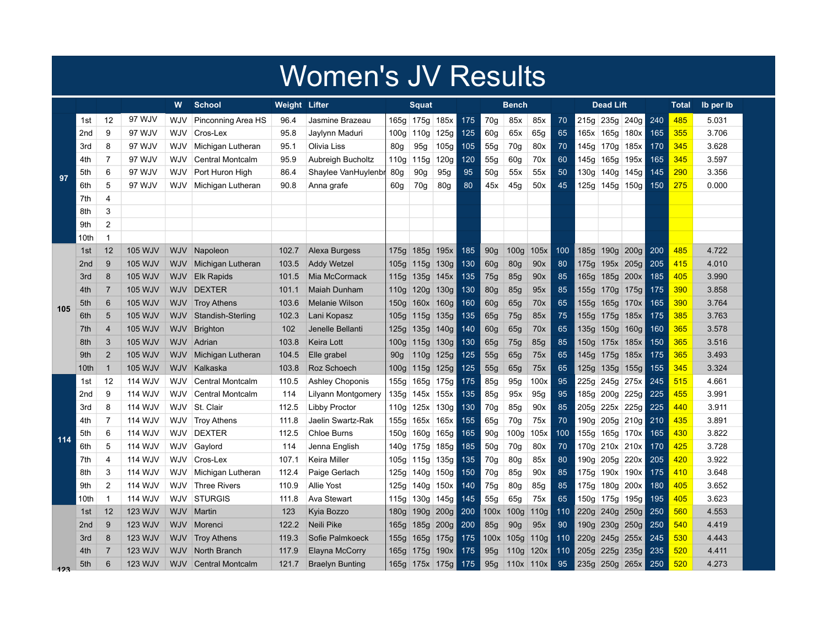## Women's JV Results

|     |                  |                |                | W          | School                  | <b>Weight Lifter</b> |                        |                  | <b>Squat</b>     |      |     | Bench           |                  |             |     | <b>Dead Lift</b> |                |      |     | Total | Ib per Ib |  |
|-----|------------------|----------------|----------------|------------|-------------------------|----------------------|------------------------|------------------|------------------|------|-----|-----------------|------------------|-------------|-----|------------------|----------------|------|-----|-------|-----------|--|
|     | 1st              | 12             | 97 WJV         | WJV        | Pinconning Area HS      | 96.4                 | Jasmine Brazeau        | 165g             | 175g             | 185x | 175 | 70g             | 85x              | 85x         | 70  | 215g             | 235g 240g      |      | 240 | 485   | 5.031     |  |
|     | 2 <sub>nd</sub>  | 9              | 97 WJV         | WJV        | Cros-Lex                | 95.8                 | Jaylynn Maduri         | 100 <sub>g</sub> | 110 <sub>g</sub> | 125g | 125 | 60g             | 65x              | 65g         | 65  | 165x             | 165g 180x      |      | 165 | 355   | 3.706     |  |
|     | 3rd              | 8              | 97 WJV         | WJV        | Michigan Lutheran       | 95.1                 | Olivia Liss            | 80 <sub>g</sub>  | 95g              | 105g | 105 | 55g             | 70g              | 80x         | 70  | 145g             | 170g 185x      |      | 170 | 345   | 3.628     |  |
|     | 4th              | $\overline{7}$ | 97 WJV         | WJV        | <b>Central Montcalm</b> | 95.9                 | Aubreigh Bucholtz      | 110g             | 115g             | 120g | 120 | 55g             | 60g              | 70x         | 60  | 145g             | 165g           | 195x | 165 | 345   | 3.597     |  |
| 97  | 5th              | 6              | 97 WJV         | WJV        | Port Huron High         | 86.4                 | Shaylee VanHuylenbr    | 80 <sub>g</sub>  | 90g              | 95g  | 95  | 50 <sub>q</sub> | 55x              | 55x         | 50  | 130g             | 140g           | 145g | 145 | 290   | 3.356     |  |
|     | 6th              | 5              | 97 WJV         | WJV        | Michigan Lutheran       | 90.8                 | Anna grafe             | 60g              | 70g              | 80g  | 80  | 45x             | 45g              | 50x         | 45  | 125g             | 145g           | 150g | 150 | 275   | 0.000     |  |
|     | 7th              | 4              |                |            |                         |                      |                        |                  |                  |      |     |                 |                  |             |     |                  |                |      |     |       |           |  |
|     | 8th              | 3              |                |            |                         |                      |                        |                  |                  |      |     |                 |                  |             |     |                  |                |      |     |       |           |  |
|     | 9th              | $\overline{2}$ |                |            |                         |                      |                        |                  |                  |      |     |                 |                  |             |     |                  |                |      |     |       |           |  |
|     | 10th             | -1             |                |            |                         |                      |                        |                  |                  |      |     |                 |                  |             |     |                  |                |      |     |       |           |  |
|     | 1st              | 12             | <b>105 WJV</b> | <b>WJV</b> | Napoleon                | 102.7                | Alexa Burgess          | 175g             | 185g             | 195x | 185 | 90 <sub>g</sub> | 100 <sub>g</sub> | 105x        | 100 | 185g             | $190g$ 200g    |      | 200 | 485   | 4.722     |  |
|     | 2 <sub>nd</sub>  | 9              | <b>105 WJV</b> | <b>WJV</b> | Michigan Lutheran       | 103.5                | <b>Addy Wetzel</b>     | 105g             | 115g             | 130g | 130 | 60g             | <b>80g</b>       | 90x         | 80  |                  | 175g 195x 205g |      | 205 | 415   | 4.010     |  |
|     | 3rd              | 8              | <b>105 WJV</b> | <b>WJV</b> | <b>Elk Rapids</b>       | 101.5                | Mia McCormack          | 115q             | 135g             | 145x | 135 | 75g             | 85g              | 90x         | 85  |                  | 165g 185g 200x |      | 185 | 405   | 3.990     |  |
|     | 4th              | 7              | <b>105 WJV</b> | <b>WJV</b> | <b>DEXTER</b>           | 101.1                | <b>Maiah Dunham</b>    | 110q             | 120g             | 130g | 130 | 80g             | 85g              | 95x         | 85  |                  | 155g 170g 175g |      | 175 | 390   | 3.858     |  |
| 105 | 5th              | 6              | <b>105 WJV</b> | <b>WJV</b> | <b>Troy Athens</b>      | 103.6                | <b>Melanie Wilson</b>  | 150 <sub>g</sub> | 160x 160g        |      | 160 | 60g             | 65g              | 70x         | 65  |                  | 155g 165g 170x |      | 165 | 390   | 3.764     |  |
|     | 6th              | 5              | <b>105 WJV</b> | <b>WJV</b> | Standish-Sterling       | 102.3                | Lani Kopasz            | 105g             | 115g             | 135g | 135 | 65g             | 75g              | 85x         | 75  |                  | 155g 175g 185x |      | 175 | 385   | 3.763     |  |
|     | 7th              | $\overline{4}$ | <b>105 WJV</b> | WJV        | <b>Brighton</b>         | 102                  | Jenelle Bellanti       | 125g             | 135g             | 140g | 140 | 60g             | 65g              | 70x         | 65  | 135g             | 150g 160g      |      | 160 | 365   | 3.578     |  |
|     | 8th              | 3              | <b>105 WJV</b> | <b>WJV</b> | Adrian                  | 103.8                | Keira Lott             | 100 <sub>g</sub> | 115g             | 130g | 130 | 65g             | 75g              | 85g         | 85  | 150g             | 175x 185x      |      | 150 | 365   | 3.516     |  |
|     | 9th              | $\overline{2}$ | <b>105 WJV</b> | <b>WJV</b> | Michigan Lutheran       | 104.5                | Elle grabel            | 90 <sub>g</sub>  | 110g             | 125g | 125 | 55g             | 65g              | 75x         | 65  | 145g             | 175g 185x      |      | 175 | 365   | 3.493     |  |
|     | 10 <sub>th</sub> | $\mathbf{1}$   | <b>105 WJV</b> | <b>WJV</b> | Kalkaska                | 103.8                | Roz Schoech            | 100 <sub>g</sub> | 115g             | 125g | 125 | 55g             | 65g              | 75x         | 65  | 125g             | 135g 155g      |      | 155 | 345   | 3.324     |  |
|     | 1st              | 12             | <b>114 WJV</b> | WJV        | <b>Central Montcalm</b> | 110.5                | <b>Ashley Choponis</b> | 155g             | 165g             | 175g | 175 | 85g             | 95 <sub>g</sub>  | 100x        | 95  | 225g             | 245g 275x      |      | 245 | 515   | 4.661     |  |
|     | 2nd              | 9              | 114 WJV        | WJV        | <b>Central Montcalm</b> | 114                  | Lilyann Montgomery     | 135g             | 145x             | 155x | 135 | 85g             | 95x              | 95g         | 95  | 185g             | 200g           | 225g | 225 | 455   | 3.991     |  |
|     | 3rd              | 8              | 114 WJV        | WJV        | St. Clair               | 112.5                | <b>Libby Proctor</b>   | 110 <sub>g</sub> | 125x             | 130g | 130 | 70g             | 85g              | 90x         | 85  | 205g             | 225x 225g      |      | 225 | 440   | 3.911     |  |
|     | 4th              | 7              | 114 WJV        | WJV        | <b>Troy Athens</b>      | 111.8                | Jaelin Swartz-Rak      | 155g             | 165x             | 165x | 155 | 65g             | 70g              | 75x         | 70  | 190g             | 205g 210g      |      | 210 | 435   | 3.891     |  |
| 114 | 5th              | 6              | 114 WJV        | WJV        | <b>DEXTER</b>           | 112.5                | <b>Chloe Burns</b>     | 150 <sub>g</sub> | 160 <sub>g</sub> | 165g | 165 | 90g             | 100g             | 105x        | 100 | 155g             | 165g 170x      |      | 165 | 430   | 3.822     |  |
|     | 6th              | 5              | 114 WJV        | WJV        | Gaylord                 | 114                  | Jenna English          | 140g             | 175g             | 185g | 185 | 50g             | 70g              | 80x         | 70  | 170g             | 210x 210x      |      | 170 | 425   | 3.728     |  |
|     | 7th              | 4              | 114 WJV        | WJV        | Cros-Lex                | 107.1                | Keira Miller           | 105g             | 115g             | 135g | 135 | 70g             | 80g              | 85x         | 80  | 190g             | 205g           | 220x | 205 | 420   | 3.922     |  |
|     | 8th              | 3              | 114 WJV        | WJV        | Michigan Lutheran       | 112.4                | Paige Gerlach          | 125g             | 140 <sub>g</sub> | 150g | 150 | 70g             | 85g              | 90x         | 85  | 175g             | 190x 190x      |      | 175 | 410   | 3.648     |  |
|     | 9th              | 2              | 114 WJV        | WJV        | <b>Three Rivers</b>     | 110.9                | <b>Allie Yost</b>      | 125g             | 140 <sub>g</sub> | 150x | 140 | 75g             | 80 <sub>g</sub>  | 85g         | 85  | 175g             | 180g           | 200x | 180 | 405   | 3.652     |  |
|     | 10th             | -1             | 114 WJV        | WJV        | <b>STURGIS</b>          | 111.8                | Ava Stewart            | 115g             | 130g 145g        |      | 145 | 55g             | 65g              | 75x         | 65  |                  | 150g 175g 195g |      | 195 | 405   | 3.623     |  |
|     | 1st              | 12             | 123 WJV        | <b>WJV</b> | Martin                  | 123                  | Kyia Bozzo             | 180g             | 190g             | 200g | 200 | 100x            | 100 <sub>g</sub> | 110g        | 110 | 220g             | 240g           | 250g | 250 | 560   | 4.553     |  |
|     | 2 <sub>nd</sub>  | 9              | 123 WJV        | <b>WJV</b> | Morenci                 | 122.2                | Neili Pike             | 165g             | 185g             | 200g | 200 | 85g             | 90 <sub>g</sub>  | 95x         | 90  | 190 <sub>g</sub> | 230g 250g      |      | 250 | 540   | 4.419     |  |
|     | 3rd              | 8              | <b>123 WJV</b> | <b>WJV</b> | <b>Troy Athens</b>      | 119.3                | Sofie Palmkoeck        | 155g             | 165g             | 175g | 175 | 100x            | 105g             | 110g        | 110 | 220g             | 245g 255x      |      | 245 | 530   | 4.443     |  |
|     | 4th              | 7              | 123 WJV        | <b>WJV</b> | North Branch            | 117.9                | Elayna McCorry         | 165g             | 175g             | 190x | 175 | 95g             | 110g             | 120x        | 110 | 205g             | 225g           | 235g | 235 | 520   | 4.411     |  |
| 123 | 5th              | 6              | <b>123 WJV</b> | <b>WJV</b> | <b>Central Montcalm</b> | 121.7                | <b>Braelyn Bunting</b> |                  | 165g 175x 175g   |      | 175 | 95g             |                  | $110x$ 110x | 95  | 235g             | 250g 265x      |      | 250 | 520   | 4.273     |  |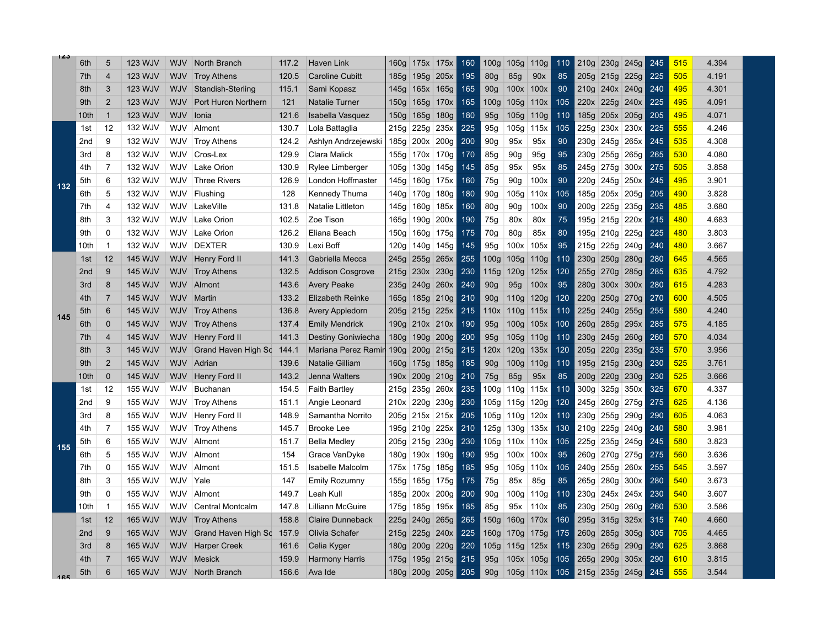| 123 |                  |                |                |            |                         |       |                         |                  |                  |                  |     |                  |                  |                  |     |                  |      |                |     |     |       |
|-----|------------------|----------------|----------------|------------|-------------------------|-------|-------------------------|------------------|------------------|------------------|-----|------------------|------------------|------------------|-----|------------------|------|----------------|-----|-----|-------|
|     | 6th              | 5              | <b>123 WJV</b> | <b>WJV</b> | North Branch            | 117.2 | <b>Haven Link</b>       | 160g             | 175x 175x        |                  | 160 | 100q             | 105g             | 110 <sub>g</sub> | 110 | 210q             |      | 230g 245g      | 245 | 515 | 4.394 |
|     | 7th              | $\overline{4}$ | 123 WJV        | <b>WJV</b> | <b>Troy Athens</b>      | 120.5 | <b>Caroline Cubitt</b>  | 185g             | 195g             | 205x             | 195 | 80 <sub>g</sub>  | 85g              | 90x              | 85  | 205q             | 215g | 225g           | 225 | 505 | 4.191 |
|     | 8th              | 3              | <b>123 WJV</b> | <b>WJV</b> | Standish-Sterling       | 115.1 | Sami Kopasz             | 145g             | 165x             | 165g             | 165 | 90 <sub>g</sub>  | 100x             | 100x             | 90  | 210q             |      | 240x 240g      | 240 | 495 | 4.301 |
|     | 9th              | $\overline{2}$ | 123 WJV        | <b>WJV</b> | Port Huron Northern     | 121   | <b>Natalie Turner</b>   | 150 <sub>g</sub> | 165g             | 170x             | 165 | 100 <sub>g</sub> | 105g             | 110x             | 105 | 220x             | 225g | 240x           | 225 | 495 | 4.091 |
|     | 10 <sub>th</sub> | $\overline{1}$ | 123 WJV        | <b>WJV</b> | Ionia                   | 121.6 | Isabella Vasquez        | 150g             | 165g             | 180g             | 180 | 95g              | 105g             | 110g             | 110 | 185g             |      | 205x 205g      | 205 | 495 | 4.071 |
|     | 1st              | 12             | 132 WJV        | WJV        | Almont                  | 130.7 | Lola Battaglia          | 215g             | 225g             | 235x             | 225 | 95g              | 105g             | 115x             | 105 | 225a             |      | 230x 230x      | 225 | 555 | 4.246 |
|     | 2 <sub>nd</sub>  | 9              | 132 WJV        | WJV        | <b>Troy Athens</b>      | 124.2 | Ashlyn Andrzejewski     | 185g             | 200x             | 200 <sub>g</sub> | 200 | 90 <sub>g</sub>  | 95x              | 95x              | 90  | 230g             |      | 245g 265x      | 245 | 535 | 4.308 |
|     | 3rd              | 8              | 132 WJV        | WJV        | Cros-Lex                | 129.9 | Clara Malick            | 155g             | 170x             | 170g             | 170 | 85g              | 90 <sub>g</sub>  | 95g              | 95  | 230g             | 255g | 265g           | 265 | 530 | 4.080 |
|     | 4th              | 7              | 132 WJV        | WJV        | Lake Orion              | 130.9 | Rylee Limberger         | 105g             | 130g             | 145g             | 145 | 85g              | 95x              | 95x              | 85  | 245g             | 275g | 300x           | 275 | 505 | 3.858 |
| 132 | 5th              | 6              | 132 WJV        | WJV        | <b>Three Rivers</b>     | 126.9 | London Hoffmaster       | 145g             | 160 <sub>g</sub> | 175x             | 160 | 75g              | 90 <sub>g</sub>  | 100x             | 90  | 220g             | 245g | 250x           | 245 | 495 | 3.901 |
|     | 6th              | 5              | 132 WJV        | WJV        | Flushing                | 128   | Kennedy Thuma           | 140 <sub>g</sub> | 170g             | 180g             | 180 | 90g              | 105 <sub>g</sub> | 110x             | 105 | 185g             | 205x | 205g           | 205 | 490 | 3.828 |
|     | 7th              | $\overline{4}$ | 132 WJV        | WJV        | LakeVille               | 131.8 | Natalie Littleton       | 145g             | 160g             | 185x             | 160 | 80g              | 90 <sub>q</sub>  | 100x             | 90  | 200g             | 225g | 235g           | 235 | 485 | 3.680 |
|     | 8th              | 3              | 132 WJV        | WJV        | Lake Orion              | 102.5 | Zoe Tison               | 165g             | 190g             | 200x             | 190 | 75g              | 80x              | 80x              | 75  | 195g             |      | 215g 220x      | 215 | 480 | 4.683 |
|     | 9th              | $\Omega$       | 132 WJV        | WJV        | Lake Orion              | 126.2 | Eliana Beach            | 150g             | 160g             | 175g             | 175 | 70g              | 80g              | 85x              | 80  | 195g             | 210g | 225g           | 225 | 480 | 3.803 |
|     | 10th             | -1             | 132 WJV        | <b>WJV</b> | <b>DEXTER</b>           | 130.9 | Lexi Boff               | 120g             | 140 <sub>g</sub> | 145g             | 145 | 95q              | 100x             | 105x             | 95  | 215g             | 225g | 240g           | 240 | 480 | 3.667 |
|     | 1st              | 12             | <b>145 WJV</b> | <b>WJV</b> | Henry Ford II           | 141.3 | Gabriella Mecca         | 245g             | 255g             | 265x             | 255 | 100 <sub>g</sub> | 105g             | 110 <sub>g</sub> | 110 | 230g             | 250g | 280g           | 280 | 645 | 4.565 |
|     | 2 <sub>nd</sub>  | 9              | <b>145 WJV</b> | <b>WJV</b> | <b>Troy Athens</b>      | 132.5 | <b>Addison Cosgrove</b> | 215g             | 230x             | 230g             | 230 | 115g             | 120g             | 125x             | 120 | 255g             | 270g | 285g           | 285 | 635 | 4.792 |
|     | 3rd              | 8              | <b>145 WJV</b> | <b>WJV</b> | Almont                  | 143.6 | <b>Avery Peake</b>      | 235g             | 240g             | 260x             | 240 | 90 <sub>g</sub>  | 95g              | 100x             | 95  | 280q             | 300x | 300x           | 280 | 615 | 4.283 |
|     | 4th              | $\overline{7}$ | <b>145 WJV</b> | WJV        | Martin                  | 133.2 | <b>Elizabeth Reinke</b> | 165g             | 185g             | 210g             | 210 | 90 <sub>q</sub>  | 110g             | 120g             | 120 | 220q             |      | 250g 270g      | 270 | 600 | 4.505 |
|     | 5th              | 6              | <b>145 WJV</b> | WJV        | <b>Troy Athens</b>      | 136.8 | <b>Avery Appledorn</b>  | 205 <sub>g</sub> |                  | $215g$ 225x      | 215 | 110x             | 110g             | 115x             | 110 | 225q             |      | 240g 255g      | 255 | 580 | 4.240 |
| 145 | 6th              | $\overline{0}$ | <b>145 WJV</b> | WJV        | <b>Troy Athens</b>      | 137.4 | <b>Emily Mendrick</b>   | 190 <sub>g</sub> | $210x$ 210x      |                  | 190 | 95g              | 100g             | 105x             | 100 | 260 <sub>g</sub> | 285g | 295x           | 285 | 575 | 4.185 |
|     | 7th              | $\overline{4}$ | <b>145 WJV</b> | WJV        | Henry Ford II           | 141.3 | Destiny Goniwiecha      | 180g             | 190g             | 200g             | 200 | 95g              | 105g             | 110 <sub>g</sub> | 110 | 230q             | 245g | 260g           | 260 | 570 | 4.034 |
|     | 8th              | 3              | <b>145 WJV</b> | <b>WJV</b> | Grand Haven High Sc     | 144.1 | Mariana Perez Ramir     | 190 <sub>g</sub> | 200 <sub>g</sub> | 215g             | 215 | 120x             | 120g             | 135x             | 120 | 205g             | 220g | 235g           | 235 | 570 | 3.956 |
|     | 9th              | $\overline{2}$ | <b>145 WJV</b> | <b>WJV</b> | Adrian                  | 139.6 | Natalie Gilliam         | 160 <sub>g</sub> | 175g             | 185g             | 185 | 90 <sub>g</sub>  | 100 <sub>g</sub> | 110 <sub>g</sub> | 110 | 195g             | 215g | 230g           | 230 | 525 | 3.761 |
|     | 10th             | $\mathbf 0$    | <b>145 WJV</b> | <b>WJV</b> | Henry Ford II           | 143.2 | Jenna Walters           | 190x             | 200 <sub>g</sub> | 210g             | 210 | 75g              | 85g              | 95x              | 85  | 200g             | 220g | 230g           | 230 | 525 | 3.666 |
|     | 1st              | 12             | <b>155 WJV</b> | WJV        | <b>Buchanan</b>         | 154.5 | <b>Faith Bartley</b>    | 215g             | 235g             | 260x             | 235 | 100g             | 110g             | 115x             | 110 | 300g             | 325g | 350x           | 325 | 670 | 4.337 |
|     | 2nd              | 9              | <b>155 WJV</b> | WJV        | <b>Troy Athens</b>      | 151.1 | Angie Leonard           |                  | 210x 220g        | 230g             | 230 | 105g             | 115g             | 120g             | 120 | 245g             | 260g | 275g           | 275 | 625 | 4.136 |
|     | 3rd              | 8              | <b>155 WJV</b> | WJV        | Henry Ford II           | 148.9 | Samantha Norrito        | 205 <sub>g</sub> | 215x             | 215x             | 205 | 105g             | 110g             | 120x             | 110 | 230g             | 255g | 290g           | 290 | 605 | 4.063 |
|     | 4th              | $\overline{7}$ | <b>155 WJV</b> | WJV        | <b>Troy Athens</b>      | 145.7 | <b>Brooke Lee</b>       | 195g             | 210g             | 225x             | 210 | 125g             | 130g             | 135x             | 130 | 210g             | 225g | 240g           | 240 | 580 | 3.981 |
| 155 | 5th              | 6              | <b>155 WJV</b> | WJV        | Almont                  | 151.7 | <b>Bella Medley</b>     | 205g             | 215g             | 230g             | 230 | 105g             | 110x             | 110x             | 105 | 225g             | 235g | 245g           | 245 | 580 | 3.823 |
|     | 6th              | 5              | 155 WJV        | WJV        | Almont                  | 154   | Grace VanDyke           | 180g             | 190x             | 190g             | 190 | 95g              | 100x             | 100x             | 95  | 260g             | 270g | 275g           | 275 | 560 | 3.636 |
|     | 7th              | $\mathbf 0$    | <b>155 WJV</b> | WJV        | Almont                  | 151.5 | <b>Isabelle Malcolm</b> | 175x             | 175g             | 185g             | 185 | 95g              | 105g             | 110x             | 105 | 240g             | 255g | 260x           | 255 | 545 | 3.597 |
|     | 8th              | 3              | <b>155 WJV</b> | WJV        | Yale                    | 147   | <b>Emily Rozumny</b>    | 155g             | 165g             | 175g             | 175 | 75g              | 85x              | 85g              | 85  | 265g             | 280g | 300x           | 280 | 540 | 3.673 |
|     | 9th              | $\Omega$       | <b>155 WJV</b> | WJV        | Almont                  | 149.7 | Leah Kull               | 185g             | 200x             | 200 <sub>g</sub> | 200 | 90 <sub>g</sub>  | 100 <sub>g</sub> | 110g             | 110 | 230g             |      | 245x 245x      | 230 | 540 | 3.607 |
|     | 10th             | -1             | <b>155 WJV</b> | WJV        | <b>Central Montcalm</b> | 147.8 | Lilliann McGuire        | 175g             | 185g             | 195x             | 185 | 85g              | 95x              | 110x             | 85  | 230g             | 250g | 260g           | 260 | 530 | 3.586 |
|     | 1st              | 12             | <b>165 WJV</b> | <b>WJV</b> | <b>Troy Athens</b>      | 158.8 | <b>Claire Dunneback</b> | 225g             | 240g             | 265g             | 265 | 150g             | 160 <sub>g</sub> | 170x             | 160 | 295g             | 315g | 325x           | 315 | 740 | 4.660 |
|     | 2 <sub>nd</sub>  | 9              | <b>165 WJV</b> | <b>WJV</b> | Grand Haven High Sc     | 157.9 | Olivia Schafer          | 215g             | 225g             | 240x             | 225 | 160 <sub>g</sub> | 170g             | 175g             | 175 | 260g             | 285g | 305g           | 305 | 705 | 4.465 |
|     | 3rd              | 8              | <b>165 WJV</b> | <b>WJV</b> | <b>Harper Creek</b>     | 161.6 | Celia Kyger             | 180g             | 200g             | 220g             | 220 | 105g             | 115g             | 125x             | 115 | 230g             | 265g | 290g           | 290 | 625 | 3.868 |
|     | 4th              | 7              | <b>165 WJV</b> | WJV        | <b>Mesick</b>           | 159.9 | <b>Harmony Harris</b>   | 175g             |                  | 195g 215g        | 215 | 95g              | 105x             | 105g             | 105 | 265g             |      | $290g$ 305x    | 290 | 610 | 3.815 |
| 165 | 5th              | 6              | <b>165 WJV</b> | <b>WJV</b> | North Branch            | 156.6 | Ava Ide                 |                  | 180g 200g 205g   |                  | 205 | 90 <sub>g</sub>  | 105g             | 110x             | 105 |                  |      | 215g 235g 245g | 245 | 555 | 3.544 |
|     |                  |                |                |            |                         |       |                         |                  |                  |                  |     |                  |                  |                  |     |                  |      |                |     |     |       |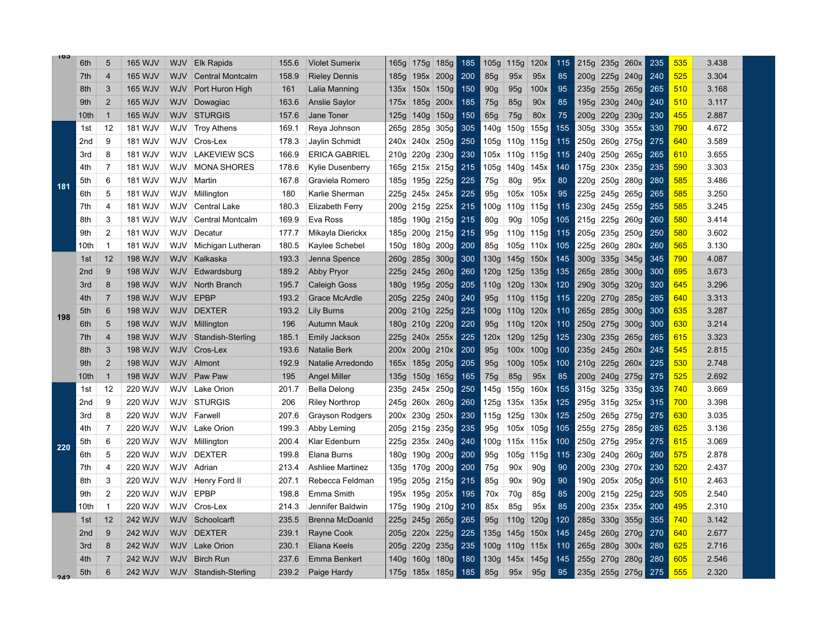| 165 | 6th             | 5              | <b>165 WJV</b> | <b>WJV</b> | <b>Elk Rapids</b>       | 155.6 | <b>Violet Sumerix</b>  | 165g             | 175g             | 185g             | 185 | 105g             | 115g             | 120x             | 115 | 215g             | 235g | 260x             | 235 | 535 | 3.438 |
|-----|-----------------|----------------|----------------|------------|-------------------------|-------|------------------------|------------------|------------------|------------------|-----|------------------|------------------|------------------|-----|------------------|------|------------------|-----|-----|-------|
|     | 7th             | $\overline{4}$ | <b>165 WJV</b> | <b>WJV</b> | <b>Central Montcalm</b> | 158.9 | <b>Rieley Dennis</b>   | 185g             | 195x             | 200g             | 200 | 85g              | 95x              | 95x              | 85  | 200q             | 225g | 240g             | 240 | 525 | 3.304 |
|     | 8th             | 3              | <b>165 WJV</b> | <b>WJV</b> | Port Huron High         | 161   | Lalia Manning          | 135x             | 150x             | 150g             | 150 | 90 <sub>g</sub>  | 95g              | 100x             | 95  | 235g             | 255g | 265g             | 265 | 510 | 3.168 |
|     | 9th             | $\overline{2}$ | <b>165 WJV</b> | <b>WJV</b> | Dowagiac                | 163.6 | <b>Anslie Saylor</b>   | 175x             | 185g             | 200x             | 185 | 75g              | 85g              | 90x              | 85  | 195g             | 230g | 240g             | 240 | 510 | 3.117 |
|     | 10th            | -1             | <b>165 WJV</b> | <b>WJV</b> | <b>STURGIS</b>          | 157.6 | Jane Toner             | 125g             | 140g             | 150g             | 150 | 65g              | 75g              | 80x              | 75  | 200g             | 220g | 230g             | 230 | 455 | 2.887 |
|     | 1st             | 12             | <b>181 WJV</b> | WJV        | <b>Troy Athens</b>      | 169.1 | Reya Johnson           | 265g             | 285g             | 305g             | 305 | 140g             | 150 <sub>g</sub> | 155g             | 155 | 305g             | 330g | 355x             | 330 | 790 | 4.672 |
|     | 2 <sub>nd</sub> | 9              | <b>181 WJV</b> | WJV        | Cros-Lex                | 178.3 | Jaylin Schmidt         | 240x             | 240x             | 250g             | 250 | 105g             | 110g             | 115g             | 115 | 250g             |      | 260g 275g        | 275 | 640 | 3.589 |
|     | 3rd             | 8              | <b>181 WJV</b> | WJV        | <b>LAKEVIEW SCS</b>     | 166.9 | ERICA GABRIEL          | 210g             | 220g             | 230g             | 230 | 105x             | 110g             | 115g             | 115 | 240g             | 250g | 265g             | 265 | 610 | 3.655 |
|     | 4th             | $\overline{7}$ | 181 WJV        | WJV        | <b>MONA SHORES</b>      | 178.6 | Kylie Dusenberry       | 165g             | 215x             | 215g             | 215 | 105g             | 140g             | 145x             | 140 | 175g             | 230x | 235g             | 235 | 590 | 3.303 |
| 181 | 5th             | 6              | <b>181 WJV</b> | WJV        | Martin                  | 167.8 | Graviela Romero        | 185g             | 195g             | 225g             | 225 | 75g              | 80g              | 95x              | 80  | 220g             | 250g | 280g             | 280 | 585 | 3.486 |
|     | 6th             | 5              | <b>181 WJV</b> | WJV        | Millington              | 180   | Karlie Sherman         | 225g             | 245x             | 245x             | 225 | 95q              | 105x             | 105x             | 95  | 225g             | 245g | 265g             | 265 | 585 | 3.250 |
|     | 7th             | $\overline{4}$ | 181 WJV        | WJV        | <b>Central Lake</b>     | 180.3 | Elizabeth Ferry        | 200g             | 215g             | 225x             | 215 | 100g             | 110 <sub>g</sub> | 115g             | 115 | 230g             | 245g | 255g             | 255 | 585 | 3.245 |
|     | 8th             | 3              | <b>181 WJV</b> | WJV        | <b>Central Montcalm</b> | 169.9 | Eva Ross               | 185g             | 190g             | 215g             | 215 | 80g              | 90 <sub>g</sub>  | 105g             | 105 | 215g             | 225g | 260g             | 260 | 580 | 3.414 |
|     | 9th             | $\overline{2}$ | <b>181 WJV</b> | WJV        | Decatur                 | 177.7 | Mikayla Dierickx       | 185g             | 200g             | 215g             | 215 | 95g              | 110g             | 115g             | 115 | 205g             | 235g | 250g             | 250 | 580 | 3.602 |
|     | 10th            | -1             | <b>181 WJV</b> | WJV        | Michigan Lutheran       | 180.5 | Kaylee Schebel         | 150 <sub>g</sub> | 180 <sub>g</sub> | 200 <sub>g</sub> | 200 | 85g              | 105g             | 110x             | 105 | 225g             | 260g | 280x             | 260 | 565 | 3.130 |
|     | 1st             | 12             | <b>198 WJV</b> | <b>WJV</b> | Kalkaska                | 193.3 | Jenna Spence           | 260g             | 285g             | 300g             | 300 | 130g             | 145g             | 150x             | 145 | 300 <sub>g</sub> | 335g | 345g             | 345 | 790 | 4.087 |
|     | 2 <sub>nd</sub> | 9              | <b>198 WJV</b> | <b>WJV</b> | Edwardsburg             | 189.2 | <b>Abby Pryor</b>      | 225g             | 245g             | 260g             | 260 | 120g             | <b>125g</b>      | 135g             | 135 | 265g             | 285g | 300g             | 300 | 695 | 3.673 |
| 198 | 3rd             | 8              | <b>198 WJV</b> | <b>WJV</b> | North Branch            | 195.7 | Caleigh Goss           | 180g             | 195g             | 205g             | 205 | 110g             | 120g             | 130x             | 120 | 290g             | 305g | 320g             | 320 | 645 | 3.296 |
|     | 4th             | $\overline{7}$ | <b>198 WJV</b> | <b>WJV</b> | <b>EPBP</b>             | 193.2 | <b>Grace McArdle</b>   | 205g             | 225g             | 240g             | 240 | 95q              | 110 <sub>g</sub> | 115g             | 115 | 220q             | 270g | 285g             | 285 | 640 | 3.313 |
|     | 5th             | 6              | <b>198 WJV</b> | <b>WJV</b> | <b>DEXTER</b>           | 193.2 | Lily Burns             | 200 <sub>g</sub> | 210g             | 225g             | 225 | 100g             | 110 <sub>g</sub> | 120x             | 110 | 265q             | 285g | 300 <sub>g</sub> | 300 | 635 | 3.287 |
|     | 6th             | 5              | <b>198 WJV</b> | <b>WJV</b> | Millington              | 196   | Autumn Mauk            | 180g             | 210g             | 220g             | 220 | 95q              | 110 <sub>g</sub> | 120x             | 110 | 250g             | 275g | 300g             | 300 | 630 | 3.214 |
|     | 7th             | $\overline{4}$ | <b>198 WJV</b> | WJV        | Standish-Sterling       | 185.1 | Emily Jackson          | 225g             | 240x             | 255x             | 225 | 120x             | 120g             | 125g             | 125 | 230g             | 235g | 265g             | 265 | 615 | 3.323 |
|     | 8th             | 3              | <b>198 WJV</b> | WJV        | Cros-Lex                | 193.6 | Natalie Berk           |                  | 200x 200g        | 210x             | 200 | 95g              | 100x             | 100 <sub>g</sub> | 100 | 235g             | 245g | 260x             | 245 | 545 | 2.815 |
|     | 9th             | $\overline{2}$ | <b>198 WJV</b> | <b>WJV</b> | Almont                  | 192.9 | Natalie Arredondo      | 165x             | 185g             | 205g             | 205 | 95g              | 100 <sub>g</sub> | 105x             | 100 | 210g             | 225g | 260x             | 225 | 530 | 2.748 |
|     | 10th            | -1             | <b>198 WJV</b> | <b>WJV</b> | Paw Paw                 | 195   | <b>Angel Miller</b>    | 135g             | 150g             | 165g             | 165 | 75g              | 85g              | 95x              | 85  | 200 <sub>g</sub> | 240g | 275g             | 275 | 525 | 2.692 |
|     | 1st             | 12             | <b>220 WJV</b> | WJV        | Lake Orion              | 201.7 | Bella Delong           | 235g             | 245x             | 250g             | 250 | 145g             | 155g             | 160x             | 155 | 315g             | 325g | 335g             | 335 | 740 | 3.669 |
|     | 2 <sub>nd</sub> | 9              | 220 WJV        | WJV        | <b>STURGIS</b>          | 206   | <b>Riley Northrop</b>  | 245g             | 260x             | 260g             | 260 | 125g             | 135x             | 135x             | 125 | 295g             | 315g | 325x             | 315 | 700 | 3.398 |
|     | 3rd             | 8              | <b>220 WJV</b> | WJV        | Farwell                 | 207.6 | <b>Grayson Rodgers</b> | 200x             | 230g             | 250x             | 230 | 115g             | 125g             | 130x             | 125 | 250g             | 265g | 275g             | 275 | 630 | 3.035 |
|     | 4th             | $\overline{7}$ | 220 WJV        | WJV        | Lake Orion              | 199.3 | Abby Leming            | 205g             | 215g             | 235g             | 235 | 95g              | 105x             | 105g             | 105 | 255g             | 275g | 285g             | 285 | 625 | 3.136 |
| 220 | 5th             | 6              | 220 WJV        | WJV        | Millington              | 200.4 | Klar Edenburn          | 225g             | 235x             | 240g             | 240 | 100 <sub>g</sub> | 115x             | 115x             | 100 | 250g             | 275g | 295x             | 275 | 615 | 3.069 |
|     | 6th             | 5              | 220 WJV        | WJV        | <b>DEXTER</b>           | 199.8 | Elana Burns            | 180g             | 190g             | 200 <sub>g</sub> | 200 | 95g              | 105g             | 115g             | 115 | 230g             | 240g | 260g             | 260 | 575 | 2.878 |
|     | 7th             | $\overline{4}$ | <b>220 WJV</b> | WJV        | Adrian                  | 213.4 | Ashliee Martinez       | 135g             | 170g             | 200g             | 200 | 75g              | 90x              | 90g              | 90  | 200g             | 230g | 270x             | 230 | 520 | 2.437 |
|     | 8th             | 3              | 220 WJV        | WJV        | Henry Ford II           | 207.1 | Rebecca Feldman        | 195g             | 205g             | 215g             | 215 | 85g              | 90x              | 90g              | 90  | 190g             |      | $205x$ 205g      | 205 | 510 | 2.463 |
|     | 9th             | $\overline{2}$ | 220 WJV        | WJV        | <b>EPBP</b>             | 198.8 | Emma Smith             | 195x             | 195g             | 205x             | 195 | 70x              | 70g              | 85g              | 85  | 200g             | 215g | 225g             | 225 | 505 | 2.540 |
|     | 10th            | -1             | 220 WJV        | WJV        | Cros-Lex                | 214.3 | Jennifer Baldwin       | 175g             | 190g             | 210g             | 210 | 85x              | 85g              | 95x              | 85  | 200g             | 235x | 235x             | 200 | 495 | 2.310 |
|     | 1st             | 12             | 242 WJV        | WJV        | Schoolcarft             | 235.5 | Brenna McDoanld        | 225g             | 245g             | 265g             | 265 | 95g              | 110 <sub>g</sub> | 120g             | 120 | 285g             | 330g | 355g             | 355 | 740 | 3.142 |
|     | 2 <sub>nd</sub> | 9              | 242 WJV        | <b>WJV</b> | <b>DEXTER</b>           | 239.1 | Rayne Cook             | 205g             | 220x             | 225g             | 225 | 135g             | 145g             | 150x             | 145 | 245g             | 260g | 270g             | 270 | 640 | 2.677 |
|     | 3rd             | 8              | 242 WJV        | <b>WJV</b> | <b>Lake Orion</b>       | 230.1 | Eliana Keels           | 205g             | 220g             | 235g             | 235 | 100 <sub>g</sub> | 110g             | 115x             | 110 | 265g             | 280g | 300x             | 280 | 625 | 2.716 |
|     | 4th             | -7             | 242 WJV        | <b>WJV</b> | <b>Birch Run</b>        | 237.6 | Emma Benkert           | 140g             | 160g             | 180g             | 180 | 130g             | 145x             | 145g             | 145 | 255g             |      | 270g 280g        | 280 | 605 | 2.546 |
| 242 | 5th             | 6              | <b>242 WJV</b> |            | WJV Standish-Sterling   | 239.2 | Paige Hardy            |                  | 175g 185x 185g   |                  | 185 | 85g              | 95x              | 95g              | 95  |                  |      | 235g 255g 275g   | 275 | 555 | 2.320 |
|     |                 |                |                |            |                         |       |                        |                  |                  |                  |     |                  |                  |                  |     |                  |      |                  |     |     |       |